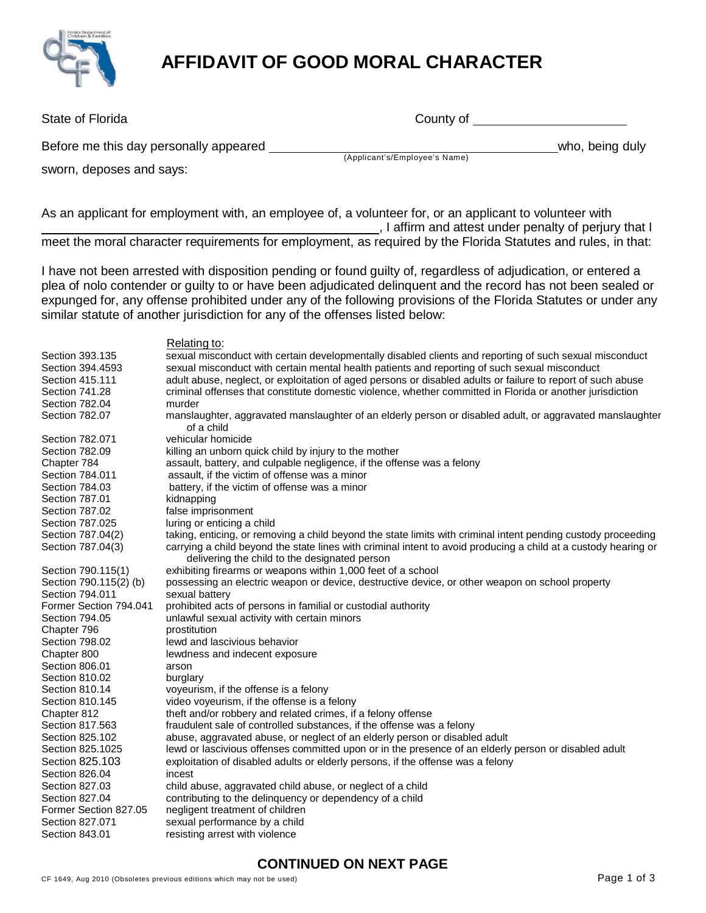

# **AFFIDAVIT OF GOOD MORAL CHARACTER**

| State of Florida                       | County of                     |                 |
|----------------------------------------|-------------------------------|-----------------|
| Before me this day personally appeared | (Applicant's/Employee's Name) | who, being duly |
| sworn, deposes and says:               |                               |                 |
|                                        |                               |                 |

As an applicant for employment with, an employee of, a volunteer for, or an applicant to volunteer with , I affirm and attest under penalty of perjury that I meet the moral character requirements for employment, as required by the Florida Statutes and rules, in that:

I have not been arrested with disposition pending or found guilty of, regardless of adjudication, or entered a plea of nolo contender or guilty to or have been adjudicated delinquent and the record has not been sealed or expunged for, any offense prohibited under any of the following provisions of the Florida Statutes or under any similar statute of another jurisdiction for any of the offenses listed below:

#### Relating to: Section 393.135 sexual misconduct with certain developmentally disabled clients and reporting of such sexual misconduct Section 394.4593 sexual misconduct with certain mental health patients and reporting of such sexual misconduct Section 415.111 adult abuse, neglect, or exploitation of aged persons or disabled adults or failure to report of such abuse Section 741.28 criminal offenses that constitute domestic violence, whether committed in Florida or another jurisdiction Section 782.04 murder<br>Section 782.07 mansla manslaughter, aggravated manslaughter of an elderly person or disabled adult, or aggravated manslaughter of a child Section 782.071 vehicular homicide<br>Section 782.09 villing an unborn qu Section 782.09 killing an unborn quick child by injury to the mother<br>Chapter 784 chapter 784 child battery, and culpable negligence, if the offer assault, battery, and culpable negligence, if the offense was a felony Section 784.011 assault, if the victim of offense was a minor Section 784.03 battery, if the victim of offense was a minor Section 787.01 kidnapping Section 787.02 false imprisonment Section 787.025 luring or enticing a child Section 787.04(2) taking, enticing, or removing a child beyond the state limits with criminal intent pending custody proceeding Section 787.04(3) carrying a child beyond the state lines with criminal intent to avoid producing a child at a custody hearing or delivering the child to the designated person Section 790.115(1) exhibiting firearms or weapons within 1,000 feet of a school Section 790.115(2) (b) possessing an electric weapon or device, destructive device, or other weapon on school property Section 794.011 sexual battery<br>Former Section 794.041 prohibited acts prohibited acts of persons in familial or custodial authority Section 794.05 unlawful sexual activity with certain minors Chapter 796 **prostitution** Section 798.02 lewd and lascivious behavior Chapter 800 lewdness and indecent exposure Section 806.01 arson Section 810.02 burglary Section 810.14 voyeurism, if the offense is a felony Section 810.145 video voyeurism, if the offense is a felony Chapter 812 theft and/or robbery and related crimes, if a felony offense<br>Section 817.563 fraudulent sale of controlled substances, if the offense was fraudulent sale of controlled substances, if the offense was a felony Section 825.102 abuse, aggravated abuse, or neglect of an elderly person or disabled adult Section 825.1025 lewd or lascivious offenses committed upon or in the presence of an elderly person or disabled adult Section 825.103 exploitation of disabled adults or elderly persons, if the offense was a felony Section 826.04 incest Section 827.03 child abuse, aggravated child abuse, or neglect of a child Section 827.04 contributing to the delinquency or dependency of a child<br>Former Section 827.05 ealigent treatment of children Former Section 827.05 negligent treatment of children sexual performance by a child Section 843.01 resisting arrest with violence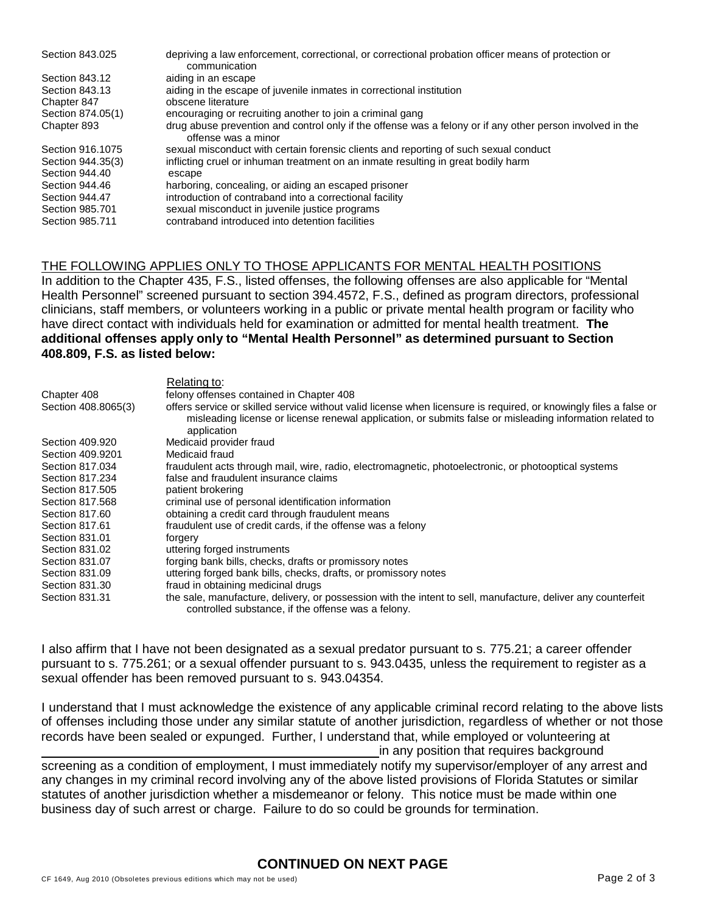| Section 843,025   | depriving a law enforcement, correctional, or correctional probation officer means of protection or<br>communication             |
|-------------------|----------------------------------------------------------------------------------------------------------------------------------|
| Section 843.12    | aiding in an escape                                                                                                              |
| Section 843.13    | aiding in the escape of juvenile inmates in correctional institution                                                             |
| Chapter 847       | obscene literature                                                                                                               |
| Section 874.05(1) | encouraging or recruiting another to join a criminal gang                                                                        |
| Chapter 893       | drug abuse prevention and control only if the offense was a felony or if any other person involved in the<br>offense was a minor |
| Section 916, 1075 | sexual misconduct with certain forensic clients and reporting of such sexual conduct                                             |
| Section 944.35(3) | inflicting cruel or inhuman treatment on an inmate resulting in great bodily harm                                                |
| Section 944.40    | escape                                                                                                                           |
| Section 944.46    | harboring, concealing, or aiding an escaped prisoner                                                                             |
| Section 944.47    | introduction of contraband into a correctional facility                                                                          |
| Section 985,701   | sexual misconduct in juvenile justice programs                                                                                   |
| Section 985.711   | contraband introduced into detention facilities                                                                                  |

#### THE FOLLOWING APPLIES ONLY TO THOSE APPLICANTS FOR MENTAL HEALTH POSITIONS

In addition to the Chapter 435, F.S., listed offenses, the following offenses are also applicable for "Mental Health Personnel" screened pursuant to section 394.4572, F.S., defined as program directors, professional clinicians, staff members, or volunteers working in a public or private mental health program or facility who have direct contact with individuals held for examination or admitted for mental health treatment. **The additional offenses apply only to "Mental Health Personnel" as determined pursuant to Section 408.809, F.S. as listed below:**

|                     | Relating to:                                                                                                                                                                                                                                 |
|---------------------|----------------------------------------------------------------------------------------------------------------------------------------------------------------------------------------------------------------------------------------------|
| Chapter 408         | felony offenses contained in Chapter 408                                                                                                                                                                                                     |
| Section 408.8065(3) | offers service or skilled service without valid license when licensure is required, or knowingly files a false or<br>misleading license or license renewal application, or submits false or misleading information related to<br>application |
| Section 409.920     | Medicaid provider fraud                                                                                                                                                                                                                      |
| Section 409.9201    | Medicaid fraud                                                                                                                                                                                                                               |
| Section 817,034     | fraudulent acts through mail, wire, radio, electromagnetic, photoelectronic, or photooptical systems                                                                                                                                         |
| Section 817,234     | false and fraudulent insurance claims                                                                                                                                                                                                        |
| Section 817,505     | patient brokering                                                                                                                                                                                                                            |
| Section 817,568     | criminal use of personal identification information                                                                                                                                                                                          |
| Section 817.60      | obtaining a credit card through fraudulent means                                                                                                                                                                                             |
| Section 817.61      | fraudulent use of credit cards, if the offense was a felony                                                                                                                                                                                  |
| Section 831.01      | forgery                                                                                                                                                                                                                                      |
| Section 831.02      | uttering forged instruments                                                                                                                                                                                                                  |
| Section 831.07      | forging bank bills, checks, drafts or promissory notes                                                                                                                                                                                       |
| Section 831.09      | uttering forged bank bills, checks, drafts, or promissory notes                                                                                                                                                                              |
| Section 831.30      | fraud in obtaining medicinal drugs                                                                                                                                                                                                           |
| Section 831.31      | the sale, manufacture, delivery, or possession with the intent to sell, manufacture, deliver any counterfeit<br>controlled substance, if the offense was a felony.                                                                           |

I also affirm that I have not been designated as a sexual predator pursuant to s. 775.21; a career offender pursuant to s. 775.261; or a sexual offender pursuant to s. 943.0435, unless the requirement to register as a sexual offender has been removed pursuant to s. 943.04354.

I understand that I must acknowledge the existence of any applicable criminal record relating to the above lists of offenses including those under any similar statute of another jurisdiction, regardless of whether or not those records have been sealed or expunged. Further, I understand that, while employed or volunteering at in any position that requires background

screening as a condition of employment, I must immediately notify my supervisor/employer of any arrest and any changes in my criminal record involving any of the above listed provisions of Florida Statutes or similar statutes of another jurisdiction whether a misdemeanor or felony. This notice must be made within one business day of such arrest or charge. Failure to do so could be grounds for termination.

### **CONTINUED ON NEXT PAGE**